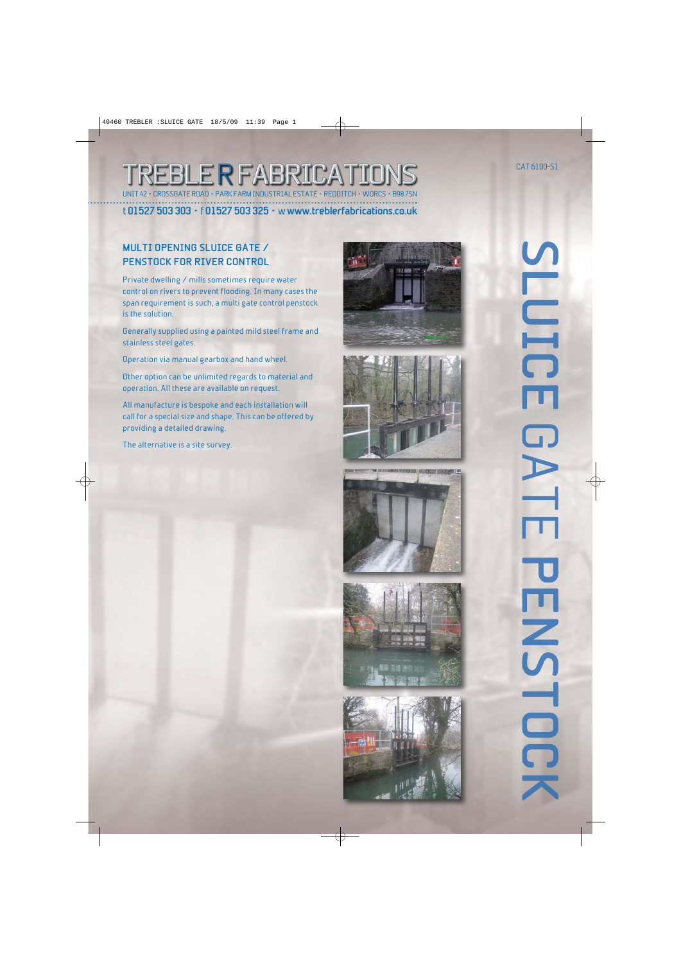### REBLE R FABRICA **CONCORATE POAD • PARK FARM INDUSTRIAL ESTATE • REDDITI**

t **01527 503 303** • f **01527 503 325** • w **www.treblerfabrications.co.uk**

#### **MULTI OPENING SLUICE GATE / PENSTOCK FOR RIVER CONTROL**

Private dwelling / mills sometimes require water control on rivers to prevent flooding. In many cases the span requirement is such, a multi gate control penstock is the solution.

Generally supplied using a painted mild steel frame and stainless steel gates.

Operation via manual gearbox and hand wheel.

Other option can be unlimited regards to material and operation. All these are available on request.

All manufacture is bespoke and each installation will call for a special size and shape. This can be offered by providing a detailed drawing.

The alternative is a site survey.











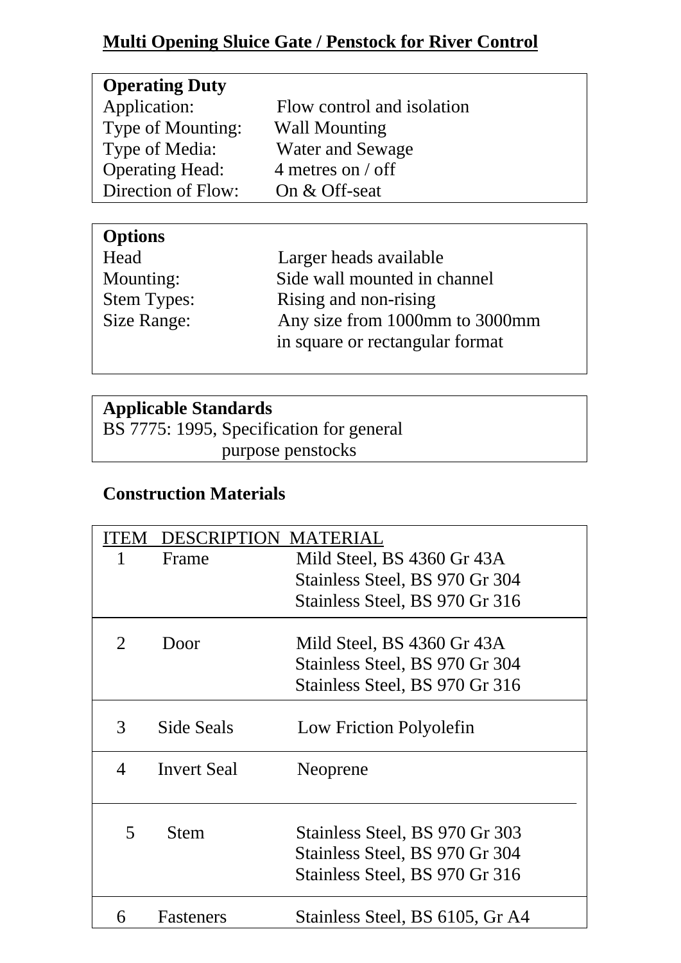### **Multi Opening Sluice Gate / Penstock for River Control**

| <b>Options</b>     |                                 |
|--------------------|---------------------------------|
| Head               | Larger heads available          |
| Mounting:          | Side wall mounted in channel    |
| <b>Stem Types:</b> | Rising and non-rising           |
| Size Range:        | Any size from 1000mm to 3000mm  |
|                    | in square or rectangular format |

### **Applicable Standards**

BS 7775: 1995, Specification for general purpose penstocks

### **Construction Materials**

| <b>FEM</b> | <b>DESCRIPTION MATERIAL</b> |                                                                                                    |
|------------|-----------------------------|----------------------------------------------------------------------------------------------------|
|            | Frame                       | Mild Steel, BS 4360 Gr 43A                                                                         |
|            |                             | Stainless Steel, BS 970 Gr 304                                                                     |
|            |                             | Stainless Steel, BS 970 Gr 316                                                                     |
| 2          | Door                        | Mild Steel, BS 4360 Gr 43A                                                                         |
|            |                             | Stainless Steel, BS 970 Gr 304                                                                     |
|            |                             | Stainless Steel, BS 970 Gr 316                                                                     |
| 3          | Side Seals                  | Low Friction Polyolefin                                                                            |
| 4          | <b>Invert Seal</b>          | Neoprene                                                                                           |
| 5          | <b>Stem</b>                 | Stainless Steel, BS 970 Gr 303<br>Stainless Steel, BS 970 Gr 304<br>Stainless Steel, BS 970 Gr 316 |
| 6          | Fasteners                   | Stainless Steel, BS 6105, Gr A4                                                                    |
|            |                             |                                                                                                    |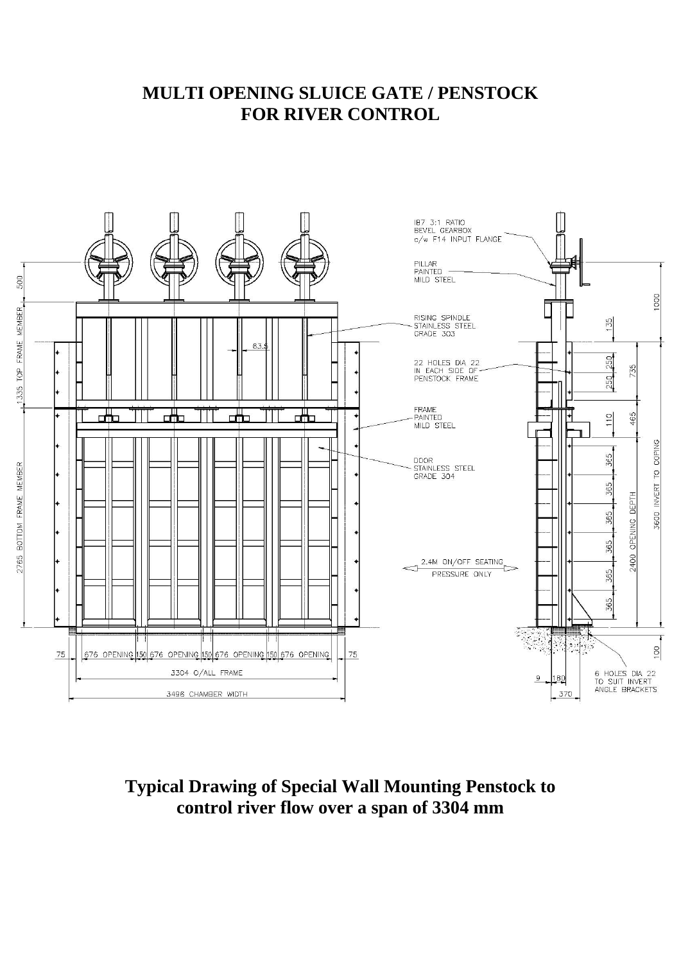#### **MULTI OPENING SLUICE GATE / PENSTOCK FOR RIVER CONTROL**



**Typical Drawing of Special Wall Mounting Penstock to control river flow over a span of 3304 mm**